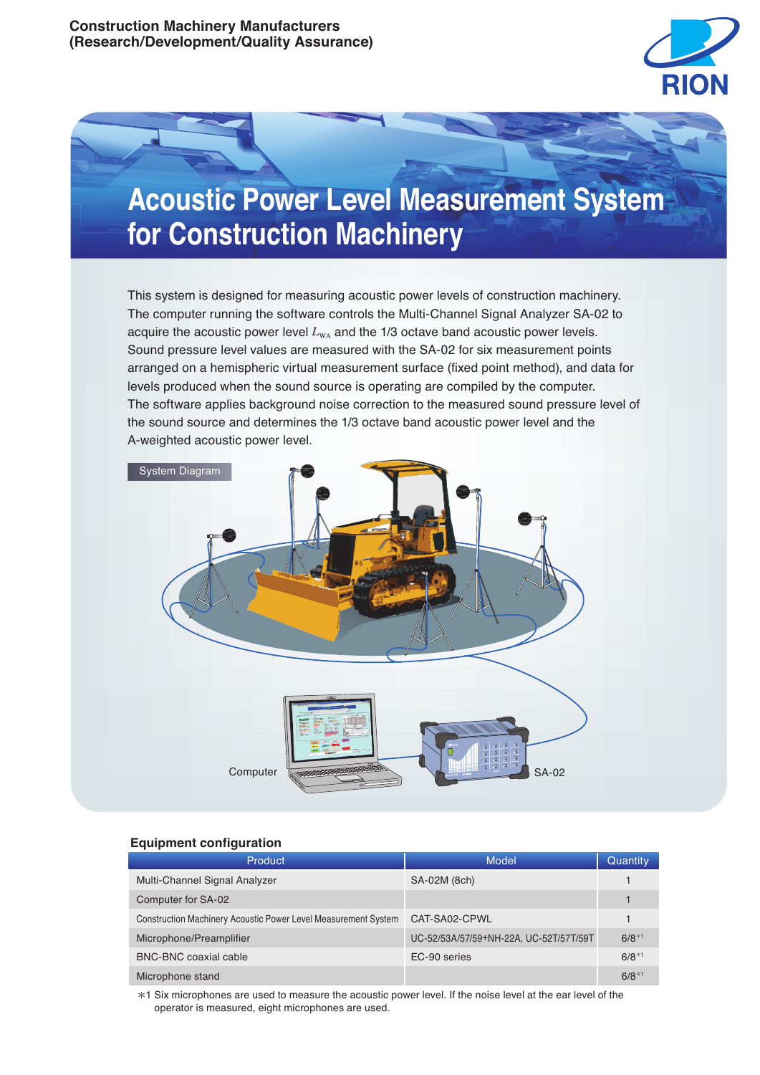



This system is designed for measuring acoustic power levels of construction machinery. The computer running the software controls the Multi-Channel Signal Analyzer SA-02 to acquire the acoustic power level  $L_{\text{WA}}$  and the 1/3 octave band acoustic power levels. Sound pressure level values are measured with the SA-02 for six measurement points arranged on a hemispheric virtual measurement surface (fixed point method), and data for levels produced when the sound source is operating are compiled by the computer. The software applies background noise correction to the measured sound pressure level of the sound source and determines the 1/3 octave band acoustic power level and the A-weighted acoustic power level.



# **Equipment configuration**

| <b>Product</b>                                                 | Model                                  | Quantity   |
|----------------------------------------------------------------|----------------------------------------|------------|
| Multi-Channel Signal Analyzer                                  | SA-02M (8ch)                           |            |
| Computer for SA-02                                             |                                        |            |
| Construction Machinery Acoustic Power Level Measurement System | CAT-SA02-CPWL                          |            |
| Microphone/Preamplifier                                        | UC-52/53A/57/59+NH-22A, UC-52T/57T/59T | $6/8^{*1}$ |
| BNC-BNC coaxial cable                                          | EC-90 series                           | $6/8^{*1}$ |
| Microphone stand                                               |                                        | $6/8^{*1}$ |

\*1 Six microphones are used to measure the acoustic power level. If the noise level at the ear level of the operator is measured, eight microphones are used.